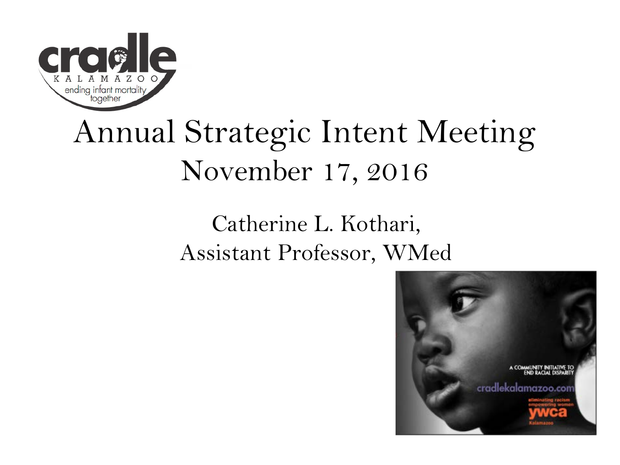

## Annual Strategic Intent Meeting November 17, 2016

## Catherine L. Kothari, Assistant Professor, WMed

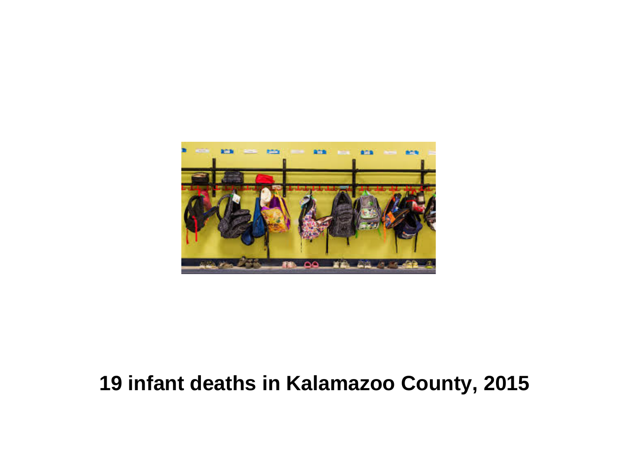

### **19 infant deaths in Kalamazoo County, 2015**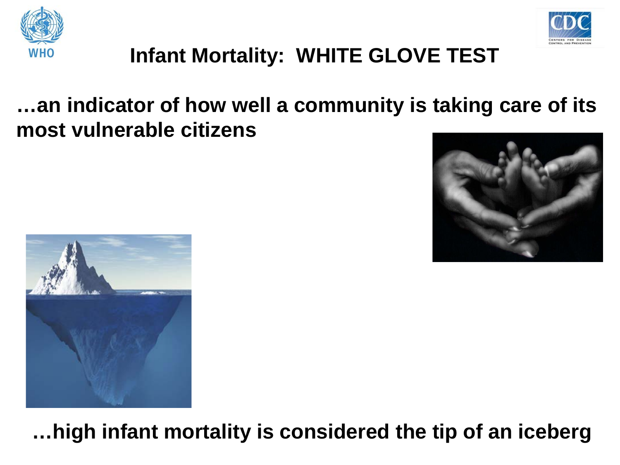



## **Infant Mortality: WHITE GLOVE TEST**

## **…an indicator of how well a community is taking care of its most vulnerable citizens**





**…high infant mortality is considered the tip of an iceberg**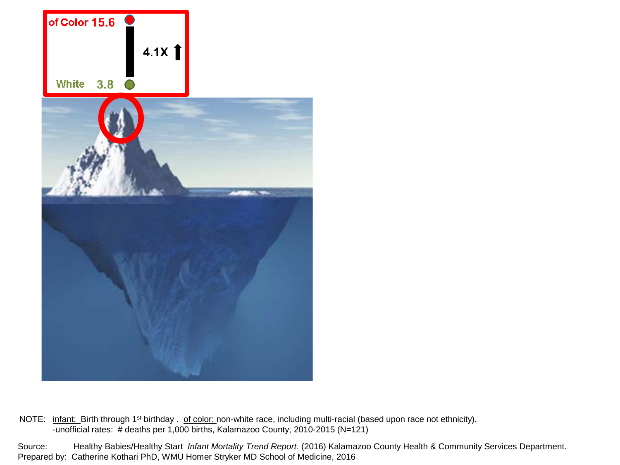

NOTE: infant: Birth through 1<sup>st</sup> birthday . of color: non-white race, including multi-racial (based upon race not ethnicity). -unofficial rates: # deaths per 1,000 births, Kalamazoo County, 2010-2015 (N=121)

Source: Healthy Babies/Healthy Start *Infant Mortality Trend Report*. (2016) Kalamazoo County Health & Community Services Department. Prepared by: Catherine Kothari PhD, WMU Homer Stryker MD School of Medicine, 2016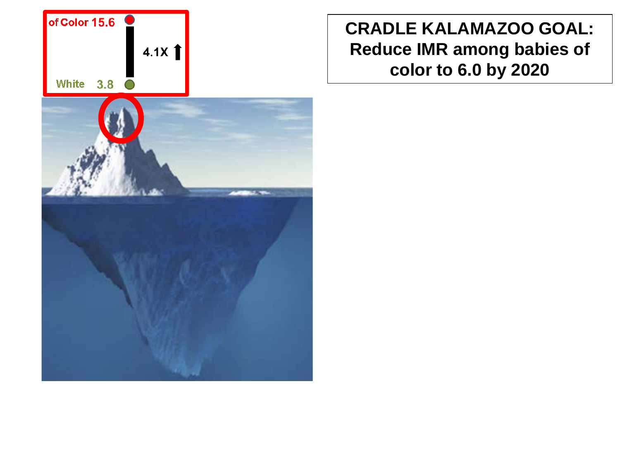

#### **CRADLE KALAMAZOO GOAL: Reduce IMR among babies of color to 6.0 by 2020**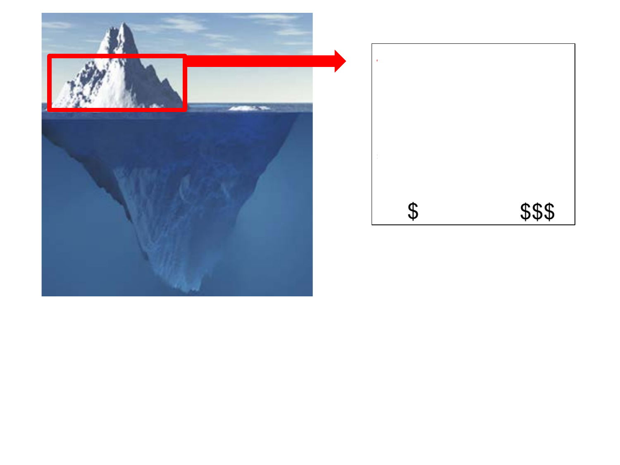

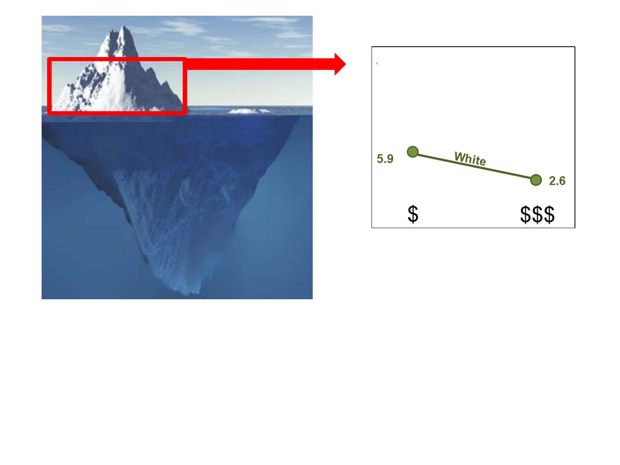

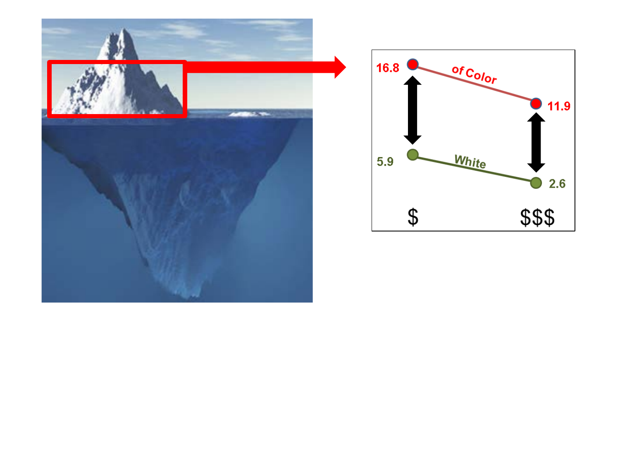

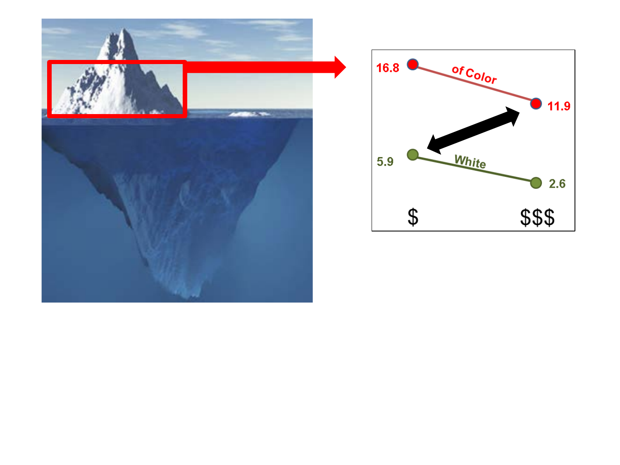

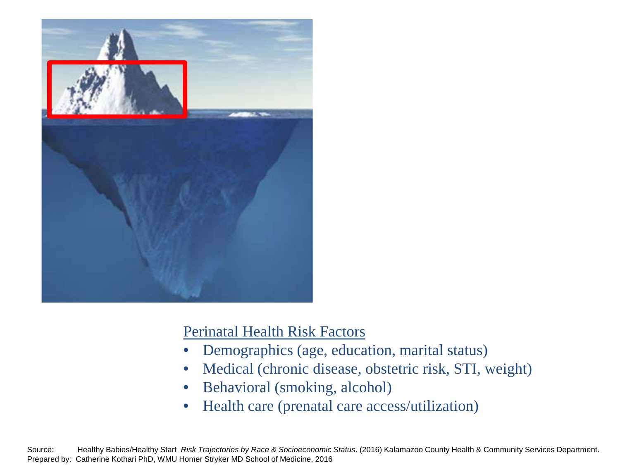

#### Perinatal Health Risk Factors

- Demographics (age, education, marital status)
- Medical (chronic disease, obstetric risk, STI, weight)
- Behavioral (smoking, alcohol)
- Health care (prenatal care access/utilization)

Source: Healthy Babies/Healthy Start *Risk Trajectories by Race & Socioeconomic Status*. (2016) Kalamazoo County Health & Community Services Department. Prepared by: Catherine Kothari PhD, WMU Homer Stryker MD School of Medicine, 2016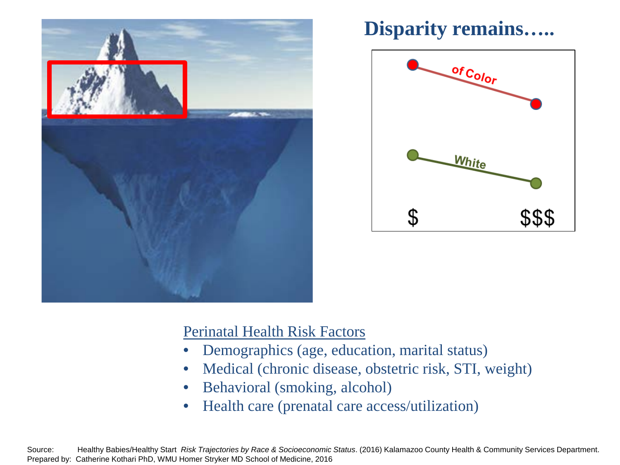

## **Disparity remains…..**



#### Perinatal Health Risk Factors

- Demographics (age, education, marital status)
- Medical (chronic disease, obstetric risk, STI, weight)
- Behavioral (smoking, alcohol)
- Health care (prenatal care access/utilization)

Source: Healthy Babies/Healthy Start *Risk Trajectories by Race & Socioeconomic Status*. (2016) Kalamazoo County Health & Community Services Department. Prepared by: Catherine Kothari PhD, WMU Homer Stryker MD School of Medicine, 2016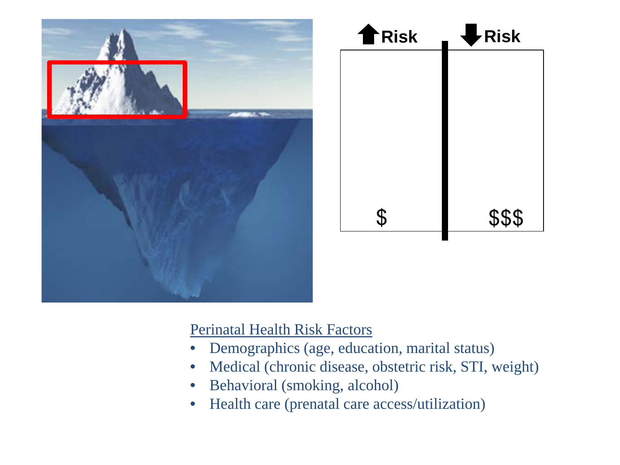

#### Perinatal Health Risk Factors

- Demographics (age, education, marital status)
- Medical (chronic disease, obstetric risk, STI, weight)
- Behavioral (smoking, alcohol)
- Health care (prenatal care access/utilization)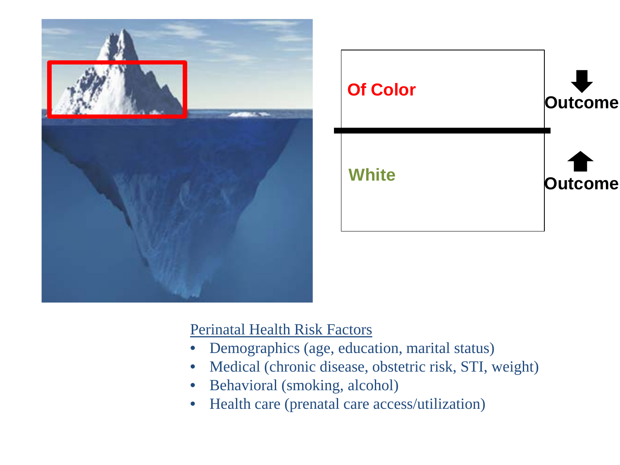

#### Perinatal Health Risk Factors

- Demographics (age, education, marital status)
- Medical (chronic disease, obstetric risk, STI, weight)
- Behavioral (smoking, alcohol)
- Health care (prenatal care access/utilization)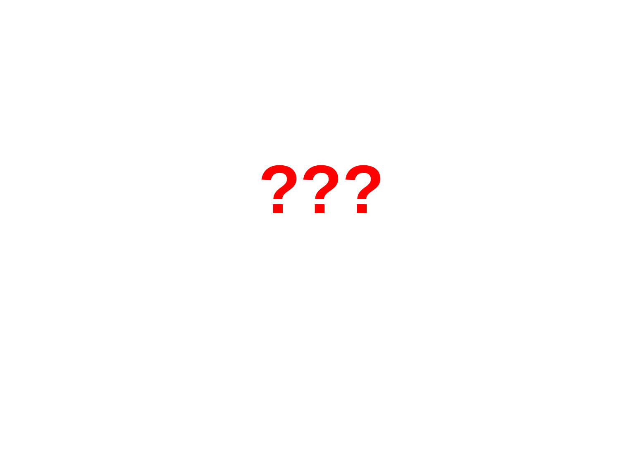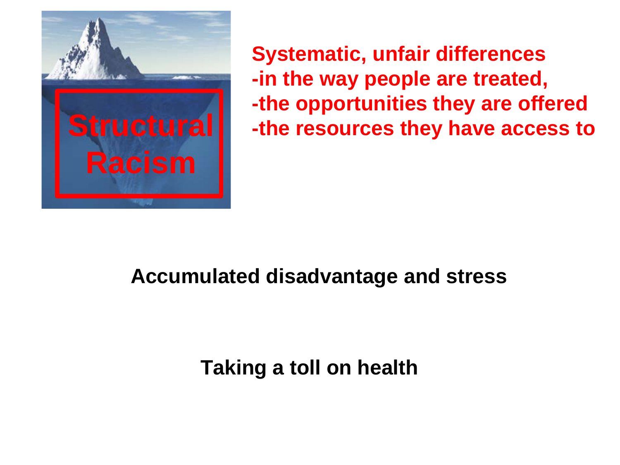

**Systematic, unfair differences -in the way people are treated, -the opportunities they are offered -the resources they have access to**

### **Accumulated disadvantage and stress**

### **Taking a toll on health**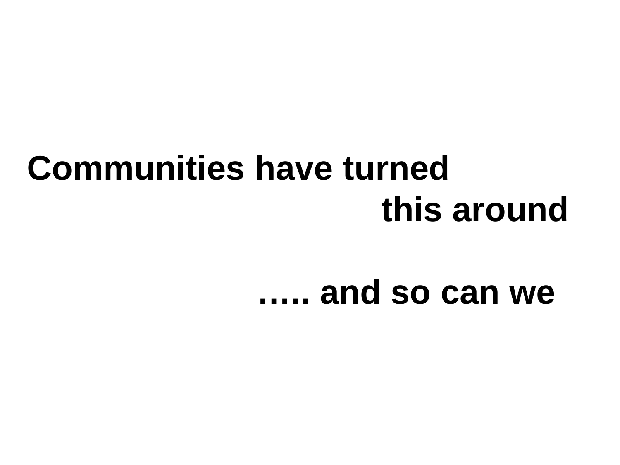## **Communities have turned** this around

## ..... and so can we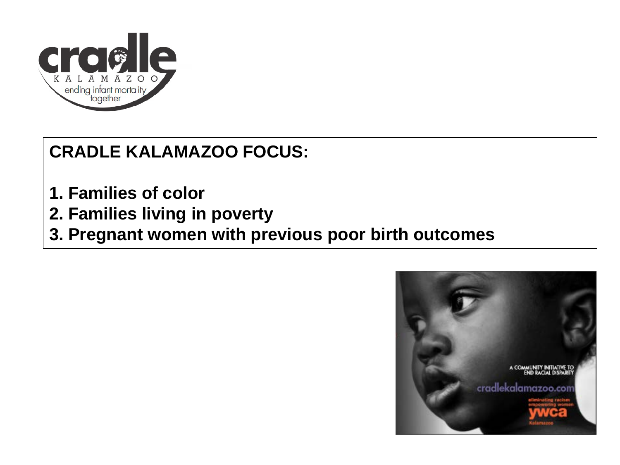

#### **CRADLE KALAMAZOO FOCUS:**

- **1. Families of color**
- **2. Families living in poverty**
- **3. Pregnant women with previous poor birth outcomes**

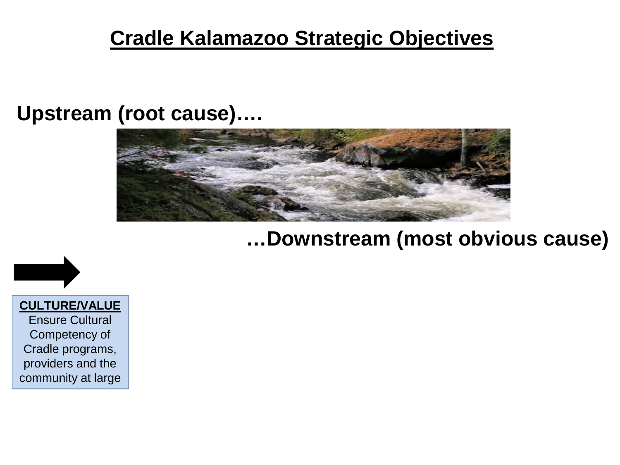#### **Upstream (root cause)….**



#### **…Downstream (most obvious cause)**

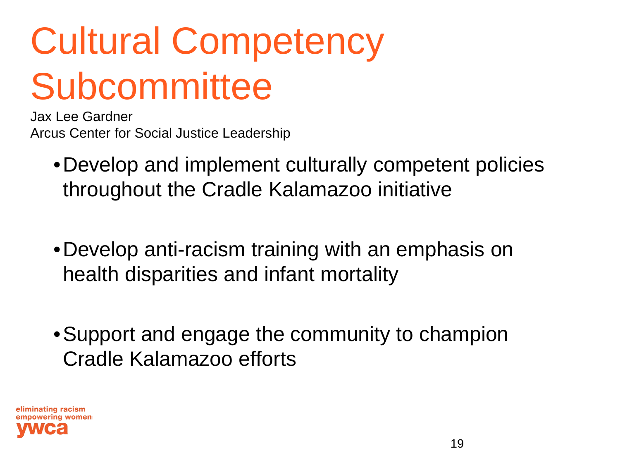# Cultural Competency **Subcommittee**

Jax Lee Gardner Arcus Center for Social Justice Leadership

- •Develop and implement culturally competent policies throughout the Cradle Kalamazoo initiative
- •Develop anti-racism training with an emphasis on health disparities and infant mortality
- •Support and engage the community to champion Cradle Kalamazoo efforts

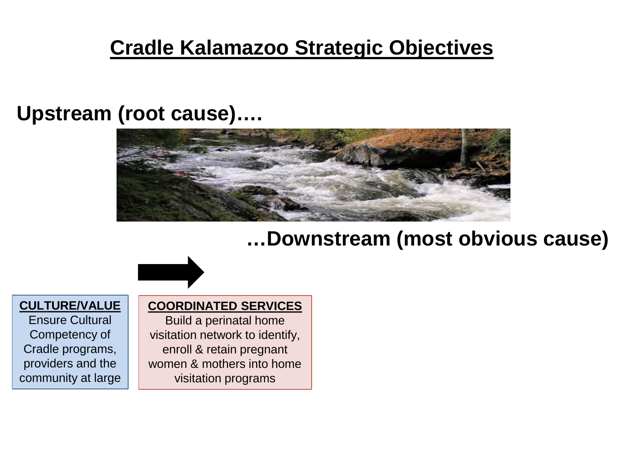## **Upstream (root cause)….**



#### **…Downstream (most obvious cause)**



#### **CULTURE/VALUE**

Ensure Cultural Competency of Cradle programs, providers and the community at large

#### **COORDINATED SERVICES**

Build a perinatal home visitation network to identify, enroll & retain pregnant women & mothers into home visitation programs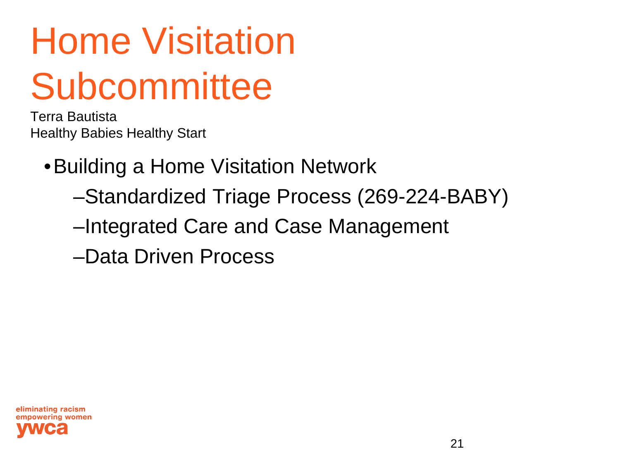# Home Visitation **Subcommittee**

Terra Bautista Healthy Babies Healthy Start

- •Building a Home Visitation Network
	- –Standardized Triage Process (269-224-BABY)
	- –Integrated Care and Case Management
	- –Data Driven Process

eliminating racism empowering women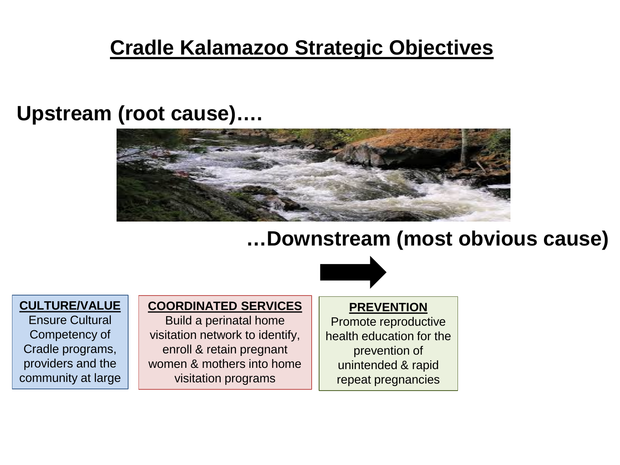## **Upstream (root cause)….**



#### **…Downstream (most obvious cause)**



#### **CULTURE/VALUE**

Ensure Cultural Competency of Cradle programs, providers and the community at large

#### **COORDINATED SERVICES**

Build a perinatal home visitation network to identify, enroll & retain pregnant women & mothers into home visitation programs

#### **PREVENTION**

Promote reproductive health education for the prevention of unintended & rapid repeat pregnancies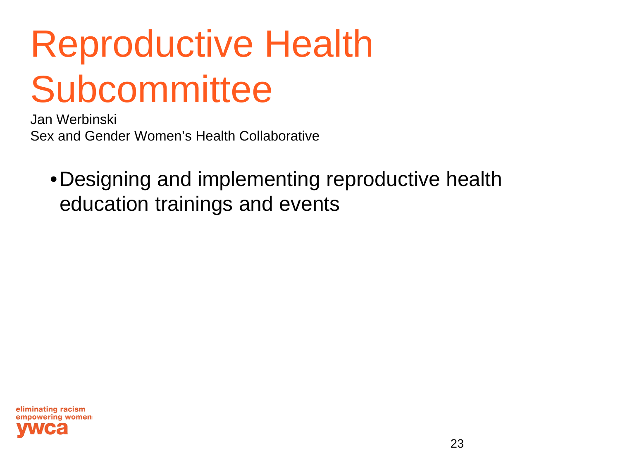# Reproductive Health **Subcommittee**

Jan Werbinski Sex and Gender Women's Health Collaborative

•Designing and implementing reproductive health education trainings and events

eliminating racism empowering women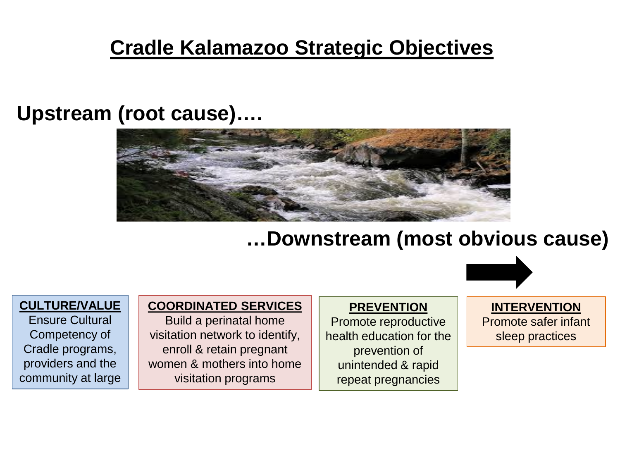### **Upstream (root cause)….**



#### **…Downstream (most obvious cause)**



#### **CULTURE/VALUE**

Ensure Cultural Competency of Cradle programs, providers and the community at large

#### **COORDINATED SERVICES**

Build a perinatal home visitation network to identify, enroll & retain pregnant women & mothers into home visitation programs

#### **PREVENTION**

Promote reproductive health education for the prevention of unintended & rapid repeat pregnancies